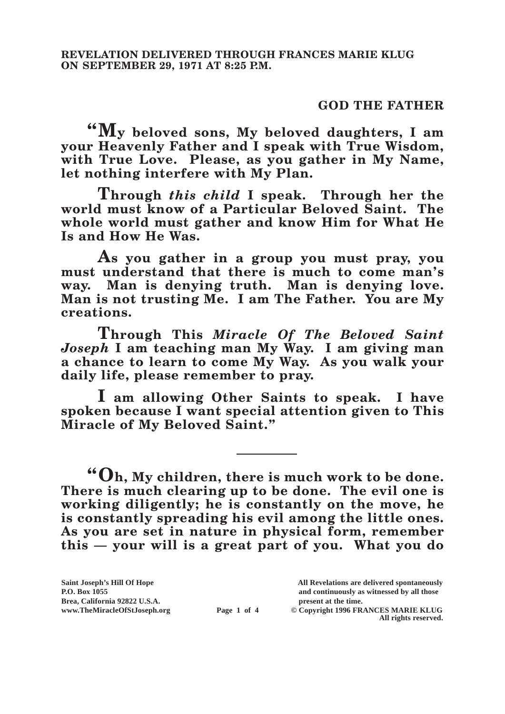### **GOD THE FATHER**

**"My beloved sons, My beloved daughters, I am your Heavenly Father and I speak with True Wisdom, with True Love. Please, as you gather in My Name, let nothing interfere with My Plan.**

**Through** *this child* **I speak. Through her the world must know of a Particular Beloved Saint. The whole world must gather and know Him for What He Is and How He Was.**

**As you gather in a group you must pray, you must understand that there is much to come man's way. Man is denying truth. Man is denying love. Man is not trusting Me. I am The Father. You are My creations.**

**Through This** *Miracle Of The Beloved Saint Joseph* **I am teaching man My Way. I am giving man a chance to learn to come My Way. As you walk your daily life, please remember to pray.**

**I am allowing Other Saints to speak. I have spoken because I want special attention given to This Miracle of My Beloved Saint."**

**"Oh, My children, there is much work to be done. There is much clearing up to be done. The evil one is working diligently; he is constantly on the move, he is constantly spreading his evil among the little ones. As you are set in nature in physical form, remember this — your will is a great part of you. What you do** 

Brea, California 92822 U.S.A.<br>
www.TheMiracleOfStJoseph.org<br> **Page 1 of 4** © Copyright 1996 FR.

**Saint Joseph's Hill Of Hope All Revelations are delivered spontaneously P.O. Box 1055 and continuously as witnessed by all those** 

 $\odot$  Copyright 1996 FRANCES MARIE KLUG **All rights reserved.**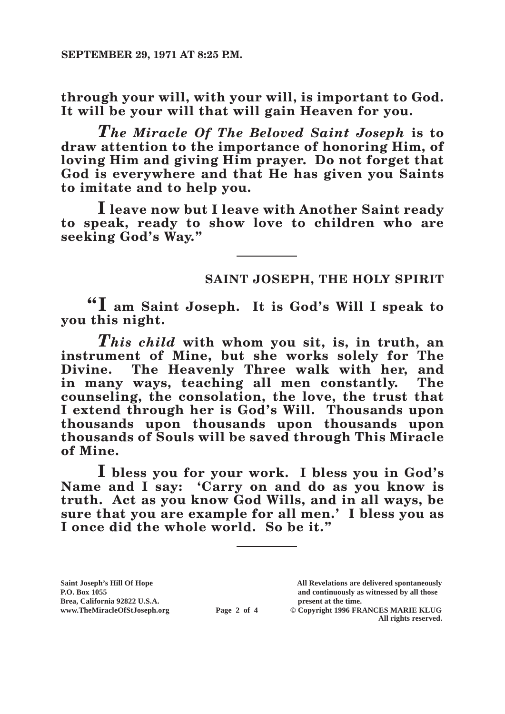**through your will, with your will, is important to God. It will be your will that will gain Heaven for you.**

*The Miracle Of The Beloved Saint Joseph* **is to draw attention to the importance of honoring Him, of loving Him and giving Him prayer. Do not forget that God is everywhere and that He has given you Saints to imitate and to help you.**

**I leave now but I leave with Another Saint ready to speak, ready to show love to children who are seeking God's Way."**

# **SAINT JOSEPH, THE HOLY SPIRIT**

**"I am Saint Joseph. It is God's Will I speak to you this night.**

*This child* **with whom you sit, is, in truth, an instrument of Mine, but she works solely for The Divine. The Heavenly Three walk with her, and in many ways, teaching all men constantly. The counseling, the consolation, the love, the trust that I extend through her is God's Will. Thousands upon thousands upon thousands upon thousands upon thousands of Souls will be saved through This Miracle of Mine.**

**I bless you for your work. I bless you in God's Name and I say: 'Carry on and do as you know is truth. Act as you know God Wills, and in all ways, be sure that you are example for all men.' I bless you as I once did the whole world. So be it."**

**Saint Joseph's Hill Of Hope All Revelations are delivered spontaneously Brea, California 92822 U.S.A. present at the time.**<br> **Page 2 of 4** © Copyright 1996 FR.

**P.O. Box 1055 and continuously as witnessed by all those** 

 $\overline{\textcircled{c}}$  Copyright 1996 FRANCES MARIE KLUG **All rights reserved.**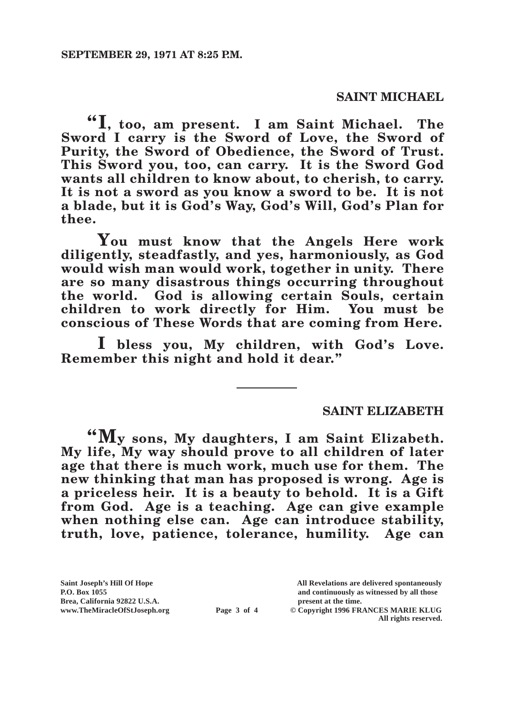### **SAINT MICHAEL**

**"I, too, am present. I am Saint Michael. The Sword I carry is the Sword of Love, the Sword of Purity, the Sword of Obedience, the Sword of Trust. This Sword you, too, can carry. It is the Sword God wants all children to know about, to cherish, to carry. It is not a sword as you know a sword to be. It is not a blade, but it is God's Way, God's Will, God's Plan for thee.**

**You must know that the Angels Here work diligently, steadfastly, and yes, harmoniously, as God would wish man would work, together in unity. There are so many disastrous things occurring throughout the world. God is allowing certain Souls, certain children to work directly for Him. You must be conscious of These Words that are coming from Here.**

**I bless you, My children, with God's Love. Remember this night and hold it dear."**

#### **SAINT ELIZABETH**

**"My sons, My daughters, I am Saint Elizabeth. My life, My way should prove to all children of later age that there is much work, much use for them. The new thinking that man has proposed is wrong. Age is a priceless heir. It is a beauty to behold. It is a Gift from God. Age is a teaching. Age can give example when nothing else can. Age can introduce stability, truth, love, patience, tolerance, humility. Age can** 

**Brea, California 92822 U.S.A. present at the time.**<br> **Page 3 of 4** © Copyright 1996 FR.

**Saint Joseph's Hill Of Hope All Revelations are delivered spontaneously P.O. Box 1055 and continuously as witnessed by all those** 

 $\odot$  Copyright 1996 FRANCES MARIE KLUG **All rights reserved.**